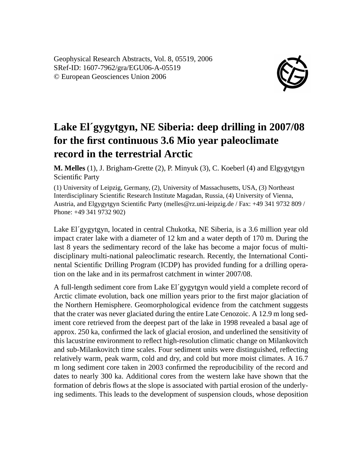Geophysical Research Abstracts, Vol. 8, 05519, 2006 SRef-ID: 1607-7962/gra/EGU06-A-05519 © European Geosciences Union 2006



## **Lake El´gygytgyn, NE Siberia: deep drilling in 2007/08 for the first continuous 3.6 Mio year paleoclimate record in the terrestrial Arctic**

**M. Melles** (1), J. Brigham-Grette (2), P. Minyuk (3), C. Koeberl (4) and Elgygytgyn Scientific Party

(1) University of Leipzig, Germany, (2), University of Massachusetts, USA, (3) Northeast Interdisciplinary Scientific Research Institute Magadan, Russia, (4) University of Vienna, Austria, and Elgygytgyn Scientific Party (melles@rz.uni-leipzig.de / Fax: +49 341 9732 809 / Phone: +49 341 9732 902)

Lake El´gygytgyn, located in central Chukotka, NE Siberia, is a 3.6 million year old impact crater lake with a diameter of 12 km and a water depth of 170 m. During the last 8 years the sedimentary record of the lake has become a major focus of multidisciplinary multi-national paleoclimatic research. Recently, the International Continental Scientific Drilling Program (ICDP) has provided funding for a drilling operation on the lake and in its permafrost catchment in winter 2007/08.

A full-length sediment core from Lake El´gygytgyn would yield a complete record of Arctic climate evolution, back one million years prior to the first major glaciation of the Northern Hemisphere. Geomorphological evidence from the catchment suggests that the crater was never glaciated during the entire Late Cenozoic. A 12.9 m long sediment core retrieved from the deepest part of the lake in 1998 revealed a basal age of approx. 250 ka, confirmed the lack of glacial erosion, and underlined the sensitivity of this lacustrine environment to reflect high-resolution climatic change on Milankovitch and sub-Milankovitch time scales. Four sediment units were distinguished, reflecting relatively warm, peak warm, cold and dry, and cold but more moist climates. A 16.7 m long sediment core taken in 2003 confirmed the reproducibility of the record and dates to nearly 300 ka. Additional cores from the western lake have shown that the formation of debris flows at the slope is associated with partial erosion of the underlying sediments. This leads to the development of suspension clouds, whose deposition